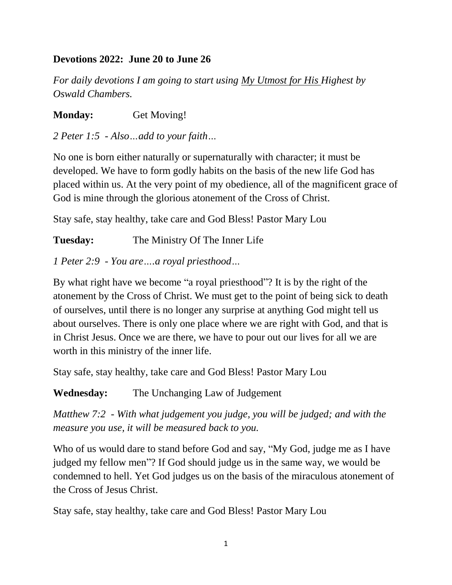#### **Devotions 2022: June 20 to June 26**

*For daily devotions I am going to start using My Utmost for His Highest by Oswald Chambers.*

**Monday:** Get Moving!

*2 Peter 1:5 - Also…add to your faith…*

No one is born either naturally or supernaturally with character; it must be developed. We have to form godly habits on the basis of the new life God has placed within us. At the very point of my obedience, all of the magnificent grace of God is mine through the glorious atonement of the Cross of Christ.

Stay safe, stay healthy, take care and God Bless! Pastor Mary Lou

**Tuesday:** The Ministry Of The Inner Life

*1 Peter 2:9 - You are….a royal priesthood…*

By what right have we become "a royal priesthood"? It is by the right of the atonement by the Cross of Christ. We must get to the point of being sick to death of ourselves, until there is no longer any surprise at anything God might tell us about ourselves. There is only one place where we are right with God, and that is in Christ Jesus. Once we are there, we have to pour out our lives for all we are worth in this ministry of the inner life.

Stay safe, stay healthy, take care and God Bless! Pastor Mary Lou

**Wednesday:** The Unchanging Law of Judgement

*Matthew 7:2 - With what judgement you judge, you will be judged; and with the measure you use, it will be measured back to you.*

Who of us would dare to stand before God and say, "My God, judge me as I have judged my fellow men"? If God should judge us in the same way, we would be condemned to hell. Yet God judges us on the basis of the miraculous atonement of the Cross of Jesus Christ.

Stay safe, stay healthy, take care and God Bless! Pastor Mary Lou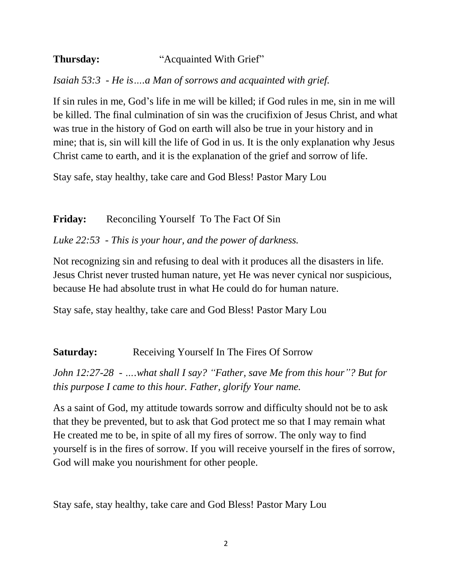# **Thursday:** "Acquainted With Grief"

*Isaiah 53:3 - He is….a Man of sorrows and acquainted with grief.*

If sin rules in me, God's life in me will be killed; if God rules in me, sin in me will be killed. The final culmination of sin was the crucifixion of Jesus Christ, and what was true in the history of God on earth will also be true in your history and in mine; that is, sin will kill the life of God in us. It is the only explanation why Jesus Christ came to earth, and it is the explanation of the grief and sorrow of life.

Stay safe, stay healthy, take care and God Bless! Pastor Mary Lou

## **Friday:** Reconciling Yourself To The Fact Of Sin

### *Luke 22:53 - This is your hour, and the power of darkness.*

Not recognizing sin and refusing to deal with it produces all the disasters in life. Jesus Christ never trusted human nature, yet He was never cynical nor suspicious, because He had absolute trust in what He could do for human nature.

Stay safe, stay healthy, take care and God Bless! Pastor Mary Lou

### **Saturday:** Receiving Yourself In The Fires Of Sorrow

*John 12:27-28 - ….what shall I say? "Father, save Me from this hour"? But for this purpose I came to this hour. Father, glorify Your name.*

As a saint of God, my attitude towards sorrow and difficulty should not be to ask that they be prevented, but to ask that God protect me so that I may remain what He created me to be, in spite of all my fires of sorrow. The only way to find yourself is in the fires of sorrow. If you will receive yourself in the fires of sorrow, God will make you nourishment for other people.

Stay safe, stay healthy, take care and God Bless! Pastor Mary Lou